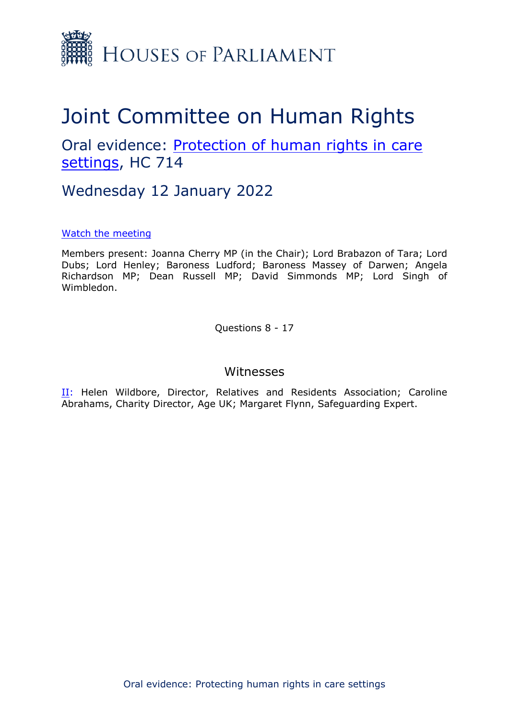

## Joint Committee on Human Rights

Oral evidence: [Protection](https://committees.parliament.uk/work/1495/protecting-human-rights-in-care-settings/publications/) [of](https://committees.parliament.uk/work/1495/protecting-human-rights-in-care-settings/publications/) [human](https://committees.parliament.uk/work/1495/protecting-human-rights-in-care-settings/publications/) [rights](https://committees.parliament.uk/work/1495/protecting-human-rights-in-care-settings/publications/) [in](https://committees.parliament.uk/work/1495/protecting-human-rights-in-care-settings/publications/) [care](https://committees.parliament.uk/work/1495/protecting-human-rights-in-care-settings/publications/) [settings](https://committees.parliament.uk/work/1495/protecting-human-rights-in-care-settings/publications/), HC 714

Wednesday 12 January 2022

## [Watch](https://parliamentlive.tv/event/index/b8f46013-11a6-43e2-99a9-d0e8f6713507?in=15:00:38) [the](https://parliamentlive.tv/event/index/b8f46013-11a6-43e2-99a9-d0e8f6713507?in=15:00:38) [meeting](https://parliamentlive.tv/event/index/b8f46013-11a6-43e2-99a9-d0e8f6713507?in=15:00:38)

Members present: Joanna Cherry MP (in the Chair); Lord Brabazon of Tara; Lord Dubs; Lord Henley; Baroness Ludford; Baroness Massey of Darwen; Angela Richardson MP; Dean Russell MP; David Simmonds MP; Lord Singh of Wimbledon.

Questions 8 - 17

## Witnesses

II: Helen Wildbore, Director, Relatives and Residents Association; Caroline Abrahams, Charity Director, Age UK; Margaret Flynn, Safeguarding Expert.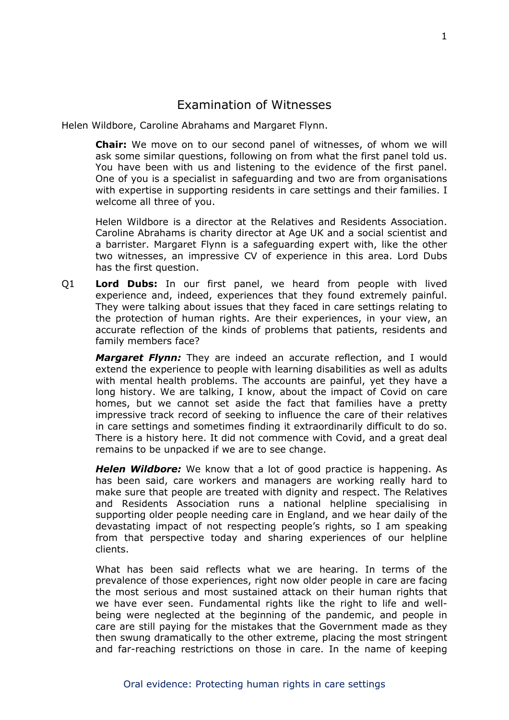## Examination of Witnesses

Helen Wildbore, Caroline Abrahams and Margaret Flynn.

**Chair:** We move on to our second panel of witnesses, of whom we will ask some similar questions, following on from what the first panel told us. You have been with us and listening to the evidence of the first panel. One of you is a specialist in safeguarding and two are from organisations with expertise in supporting residents in care settings and their families. I welcome all three of you.

Helen Wildbore is a director at the Relatives and Residents Association. Caroline Abrahams is charity director at Age UK and a social scientist and a barrister. Margaret Flynn is a safeguarding expert with, like the other two witnesses, an impressive CV of experience in this area. Lord Dubs has the first question.

Q1 **Lord Dubs:** In our first panel, we heard from people with lived experience and, indeed, experiences that they found extremely painful. They were talking about issues that they faced in care settings relating to the protection of human rights. Are their experiences, in your view, an accurate reflection of the kinds of problems that patients, residents and family members face?

*Margaret Flynn:* They are indeed an accurate reflection, and I would extend the experience to people with learning disabilities as well as adults with mental health problems. The accounts are painful, yet they have a long history. We are talking, I know, about the impact of Covid on care homes, but we cannot set aside the fact that families have a pretty impressive track record of seeking to influence the care of their relatives in care settings and sometimes finding it extraordinarily difficult to do so. There is a history here. It did not commence with Covid, and a great deal remains to be unpacked if we are to see change.

*Helen Wildbore:* We know that a lot of good practice is happening. As has been said, care workers and managers are working really hard to make sure that people are treated with dignity and respect. The Relatives and Residents Association runs a national helpline specialising in supporting older people needing care in England, and we hear daily of the devastating impact of not respecting people's rights, so I am speaking from that perspective today and sharing experiences of our helpline clients.

What has been said reflects what we are hearing. In terms of the prevalence of those experiences, right now older people in care are facing the most serious and most sustained attack on their human rights that we have ever seen. Fundamental rights like the right to life and wellbeing were neglected at the beginning of the pandemic, and people in care are still paying for the mistakes that the Government made as they then swung dramatically to the other extreme, placing the most stringent and far-reaching restrictions on those in care. In the name of keeping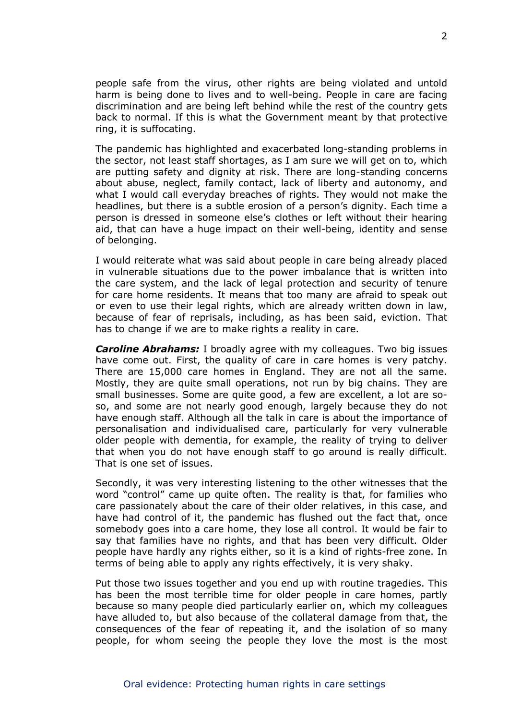people safe from the virus, other rights are being violated and untold harm is being done to lives and to well-being. People in care are facing discrimination and are being left behind while the rest of the country gets back to normal. If this is what the Government meant by that protective ring, it is suffocating.

The pandemic has highlighted and exacerbated long-standing problems in the sector, not least staff shortages, as I am sure we will get on to, which are putting safety and dignity at risk. There are long-standing concerns about abuse, neglect, family contact, lack of liberty and autonomy, and what I would call everyday breaches of rights. They would not make the headlines, but there is a subtle erosion of a person's dignity. Each time a person is dressed in someone else's clothes or left without their hearing aid, that can have a huge impact on their well-being, identity and sense of belonging.

I would reiterate what was said about people in care being already placed in vulnerable situations due to the power imbalance that is written into the care system, and the lack of legal protection and security of tenure for care home residents. It means that too many are afraid to speak out or even to use their legal rights, which are already written down in law, because of fear of reprisals, including, as has been said, eviction. That has to change if we are to make rights a reality in care.

*Caroline Abrahams:* I broadly agree with my colleagues. Two big issues have come out. First, the quality of care in care homes is very patchy. There are 15,000 care homes in England. They are not all the same. Mostly, they are quite small operations, not run by big chains. They are small businesses. Some are quite good, a few are excellent, a lot are soso, and some are not nearly good enough, largely because they do not have enough staff. Although all the talk in care is about the importance of personalisation and individualised care, particularly for very vulnerable older people with dementia, for example, the reality of trying to deliver that when you do not have enough staff to go around is really difficult. That is one set of issues.

Secondly, it was very interesting listening to the other witnesses that the word "control" came up quite often. The reality is that, for families who care passionately about the care of their older relatives, in this case, and have had control of it, the pandemic has flushed out the fact that, once somebody goes into a care home, they lose all control. It would be fair to say that families have no rights, and that has been very difficult. Older people have hardly any rights either, so it is a kind of rights-free zone. In terms of being able to apply any rights effectively, it is very shaky.

Put those two issues together and you end up with routine tragedies. This has been the most terrible time for older people in care homes, partly because so many people died particularly earlier on, which my colleagues have alluded to, but also because of the collateral damage from that, the consequences of the fear of repeating it, and the isolation of so many people, for whom seeing the people they love the most is the most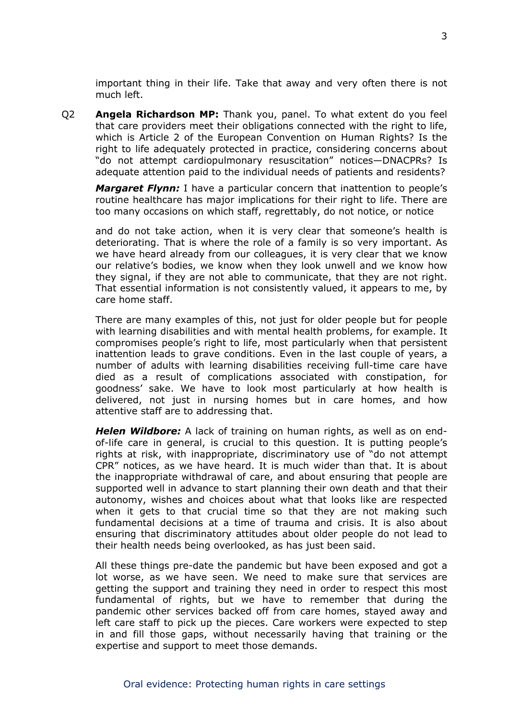important thing in their life. Take that away and very often there is not much left.

Q2 **Angela Richardson MP:** Thank you, panel. To what extent do you feel that care providers meet their obligations connected with the right to life, which is Article 2 of the European Convention on Human Rights? Is the right to life adequately protected in practice, considering concerns about "do not attempt cardiopulmonary resuscitation" notices—DNACPRs? Is adequate attention paid to the individual needs of patients and residents?

*Margaret Flynn:* I have a particular concern that inattention to people's routine healthcare has major implications for their right to life. There are too many occasions on which staff, regrettably, do not notice, or notice

and do not take action, when it is very clear that someone's health is deteriorating. That is where the role of a family is so very important. As we have heard already from our colleagues, it is very clear that we know our relative's bodies, we know when they look unwell and we know how they signal, if they are not able to communicate, that they are not right. That essential information is not consistently valued, it appears to me, by care home staff.

There are many examples of this, not just for older people but for people with learning disabilities and with mental health problems, for example. It compromises people's right to life, most particularly when that persistent inattention leads to grave conditions. Even in the last couple of years, a number of adults with learning disabilities receiving full-time care have died as a result of complications associated with constipation, for goodness' sake. We have to look most particularly at how health is delivered, not just in nursing homes but in care homes, and how attentive staff are to addressing that.

*Helen Wildbore:* A lack of training on human rights, as well as on endof-life care in general, is crucial to this question. It is putting people's rights at risk, with inappropriate, discriminatory use of "do not attempt CPR" notices, as we have heard. It is much wider than that. It is about the inappropriate withdrawal of care, and about ensuring that people are supported well in advance to start planning their own death and that their autonomy, wishes and choices about what that looks like are respected when it gets to that crucial time so that they are not making such fundamental decisions at a time of trauma and crisis. It is also about ensuring that discriminatory attitudes about older people do not lead to their health needs being overlooked, as has just been said.

All these things pre-date the pandemic but have been exposed and got a lot worse, as we have seen. We need to make sure that services are getting the support and training they need in order to respect this most fundamental of rights, but we have to remember that during the pandemic other services backed off from care homes, stayed away and left care staff to pick up the pieces. Care workers were expected to step in and fill those gaps, without necessarily having that training or the expertise and support to meet those demands.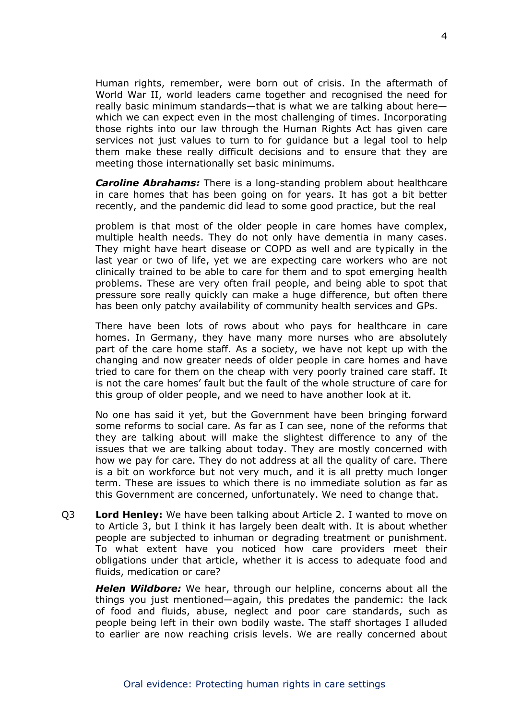Human rights, remember, were born out of crisis. In the aftermath of World War II, world leaders came together and recognised the need for really basic minimum standards—that is what we are talking about here which we can expect even in the most challenging of times. Incorporating those rights into our law through the Human Rights Act has given care services not just values to turn to for guidance but a legal tool to help them make these really difficult decisions and to ensure that they are meeting those internationally set basic minimums.

*Caroline Abrahams:* There is a long-standing problem about healthcare in care homes that has been going on for years. It has got a bit better recently, and the pandemic did lead to some good practice, but the real

problem is that most of the older people in care homes have complex, multiple health needs. They do not only have dementia in many cases. They might have heart disease or COPD as well and are typically in the last year or two of life, yet we are expecting care workers who are not clinically trained to be able to care for them and to spot emerging health problems. These are very often frail people, and being able to spot that pressure sore really quickly can make a huge difference, but often there has been only patchy availability of community health services and GPs.

There have been lots of rows about who pays for healthcare in care homes. In Germany, they have many more nurses who are absolutely part of the care home staff. As a society, we have not kept up with the changing and now greater needs of older people in care homes and have tried to care for them on the cheap with very poorly trained care staff. It is not the care homes' fault but the fault of the whole structure of care for this group of older people, and we need to have another look at it.

No one has said it yet, but the Government have been bringing forward some reforms to social care. As far as I can see, none of the reforms that they are talking about will make the slightest difference to any of the issues that we are talking about today. They are mostly concerned with how we pay for care. They do not address at all the quality of care. There is a bit on workforce but not very much, and it is all pretty much longer term. These are issues to which there is no immediate solution as far as this Government are concerned, unfortunately. We need to change that.

Q3 **Lord Henley:** We have been talking about Article 2. I wanted to move on to Article 3, but I think it has largely been dealt with. It is about whether people are subjected to inhuman or degrading treatment or punishment. To what extent have you noticed how care providers meet their obligations under that article, whether it is access to adequate food and fluids, medication or care?

*Helen Wildbore:* We hear, through our helpline, concerns about all the things you just mentioned—again, this predates the pandemic: the lack of food and fluids, abuse, neglect and poor care standards, such as people being left in their own bodily waste. The staff shortages I alluded to earlier are now reaching crisis levels. We are really concerned about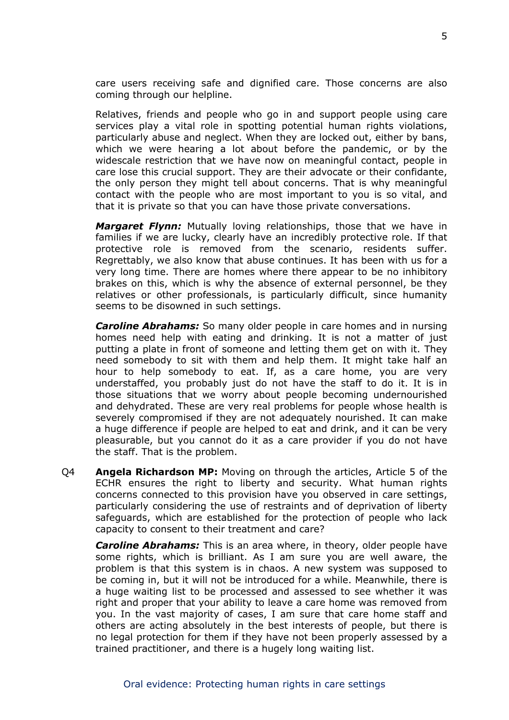care users receiving safe and dignified care. Those concerns are also coming through our helpline.

Relatives, friends and people who go in and support people using care services play a vital role in spotting potential human rights violations, particularly abuse and neglect. When they are locked out, either by bans, which we were hearing a lot about before the pandemic, or by the widescale restriction that we have now on meaningful contact, people in care lose this crucial support. They are their advocate or their confidante, the only person they might tell about concerns. That is why meaningful contact with the people who are most important to you is so vital, and that it is private so that you can have those private conversations.

*Margaret Flynn:* Mutually loving relationships, those that we have in families if we are lucky, clearly have an incredibly protective role. If that protective role is removed from the scenario, residents suffer. Regrettably, we also know that abuse continues. It has been with us for a very long time. There are homes where there appear to be no inhibitory brakes on this, which is why the absence of external personnel, be they relatives or other professionals, is particularly difficult, since humanity seems to be disowned in such settings.

*Caroline Abrahams:* So many older people in care homes and in nursing homes need help with eating and drinking. It is not a matter of just putting a plate in front of someone and letting them get on with it. They need somebody to sit with them and help them. It might take half an hour to help somebody to eat. If, as a care home, you are very understaffed, you probably just do not have the staff to do it. It is in those situations that we worry about people becoming undernourished and dehydrated. These are very real problems for people whose health is severely compromised if they are not adequately nourished. It can make a huge difference if people are helped to eat and drink, and it can be very pleasurable, but you cannot do it as a care provider if you do not have the staff. That is the problem.

Q4 **Angela Richardson MP:** Moving on through the articles, Article 5 of the ECHR ensures the right to liberty and security. What human rights concerns connected to this provision have you observed in care settings, particularly considering the use of restraints and of deprivation of liberty safeguards, which are established for the protection of people who lack capacity to consent to their treatment and care?

*Caroline Abrahams:* This is an area where, in theory, older people have some rights, which is brilliant. As I am sure you are well aware, the problem is that this system is in chaos. A new system was supposed to be coming in, but it will not be introduced for a while. Meanwhile, there is a huge waiting list to be processed and assessed to see whether it was right and proper that your ability to leave a care home was removed from you. In the vast majority of cases, I am sure that care home staff and others are acting absolutely in the best interests of people, but there is no legal protection for them if they have not been properly assessed by a trained practitioner, and there is a hugely long waiting list.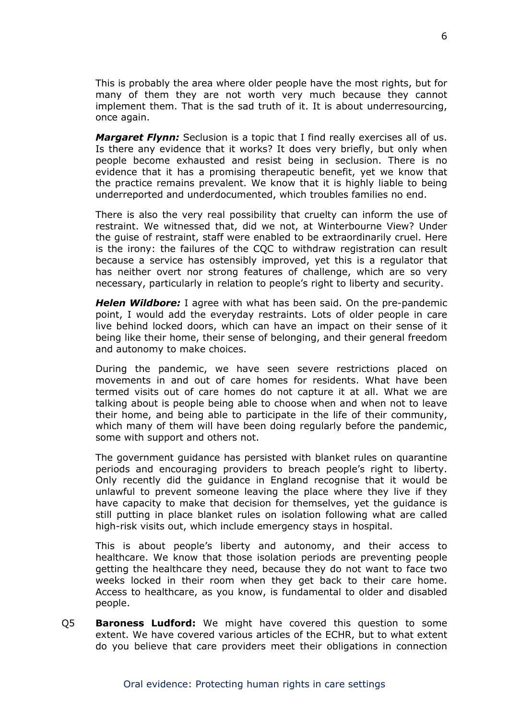This is probably the area where older people have the most rights, but for many of them they are not worth very much because they cannot implement them. That is the sad truth of it. It is about underresourcing, once again.

*Margaret Flynn:* Seclusion is a topic that I find really exercises all of us. Is there any evidence that it works? It does very briefly, but only when people become exhausted and resist being in seclusion. There is no evidence that it has a promising therapeutic benefit, yet we know that the practice remains prevalent. We know that it is highly liable to being underreported and underdocumented, which troubles families no end.

There is also the very real possibility that cruelty can inform the use of restraint. We witnessed that, did we not, at Winterbourne View? Under the guise of restraint, staff were enabled to be extraordinarily cruel. Here is the irony: the failures of the CQC to withdraw registration can result because a service has ostensibly improved, yet this is a regulator that has neither overt nor strong features of challenge, which are so very necessary, particularly in relation to people's right to liberty and security.

*Helen Wildbore:* I agree with what has been said. On the pre-pandemic point, I would add the everyday restraints. Lots of older people in care live behind locked doors, which can have an impact on their sense of it being like their home, their sense of belonging, and their general freedom and autonomy to make choices.

During the pandemic, we have seen severe restrictions placed on movements in and out of care homes for residents. What have been termed visits out of care homes do not capture it at all. What we are talking about is people being able to choose when and when not to leave their home, and being able to participate in the life of their community, which many of them will have been doing regularly before the pandemic, some with support and others not.

The government guidance has persisted with blanket rules on quarantine periods and encouraging providers to breach people's right to liberty. Only recently did the guidance in England recognise that it would be unlawful to prevent someone leaving the place where they live if they have capacity to make that decision for themselves, yet the guidance is still putting in place blanket rules on isolation following what are called high-risk visits out, which include emergency stays in hospital.

This is about people's liberty and autonomy, and their access to healthcare. We know that those isolation periods are preventing people getting the healthcare they need, because they do not want to face two weeks locked in their room when they get back to their care home. Access to healthcare, as you know, is fundamental to older and disabled people.

Q5 **Baroness Ludford:** We might have covered this question to some extent. We have covered various articles of the ECHR, but to what extent do you believe that care providers meet their obligations in connection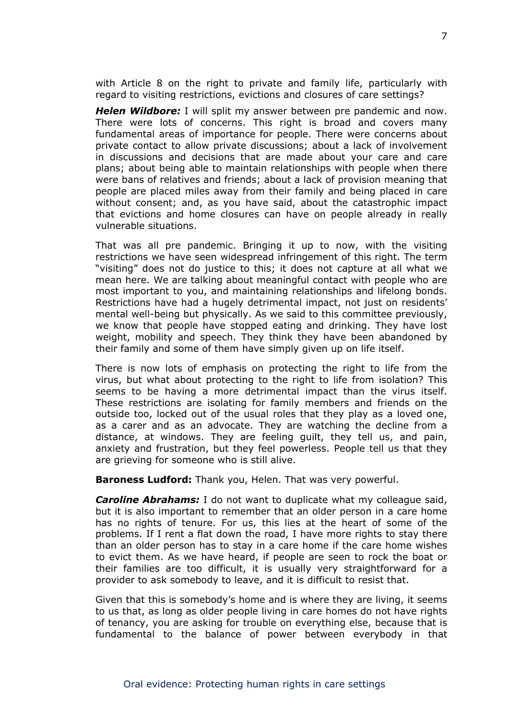with Article 8 on the right to private and family life, particularly with regard to visiting restrictions, evictions and closures of care settings?

*Helen Wildbore:* I will split my answer between pre pandemic and now. There were lots of concerns. This right is broad and covers many fundamental areas of importance for people. There were concerns about private contact to allow private discussions; about a lack of involvement in discussions and decisions that are made about your care and care plans; about being able to maintain relationships with people when there were bans of relatives and friends; about a lack of provision meaning that people are placed miles away from their family and being placed in care without consent; and, as you have said, about the catastrophic impact that evictions and home closures can have on people already in really vulnerable situations.

That was all pre pandemic. Bringing it up to now, with the visiting restrictions we have seen widespread infringement of this right. The term "visiting" does not do justice to this; it does not capture at all what we mean here. We are talking about meaningful contact with people who are most important to you, and maintaining relationships and lifelong bonds. Restrictions have had a hugely detrimental impact, not just on residents' mental well-being but physically. As we said to this committee previously, we know that people have stopped eating and drinking. They have lost weight, mobility and speech. They think they have been abandoned by their family and some of them have simply given up on life itself.

There is now lots of emphasis on protecting the right to life from the virus, but what about protecting to the right to life from isolation? This seems to be having a more detrimental impact than the virus itself. These restrictions are isolating for family members and friends on the outside too, locked out of the usual roles that they play as a loved one, as a carer and as an advocate. They are watching the decline from a distance, at windows. They are feeling guilt, they tell us, and pain, anxiety and frustration, but they feel powerless. People tell us that they are grieving for someone who is still alive.

**Baroness Ludford:** Thank you, Helen. That was very powerful.

*Caroline Abrahams:* I do not want to duplicate what my colleague said, but it is also important to remember that an older person in a care home has no rights of tenure. For us, this lies at the heart of some of the problems. If I rent a flat down the road, I have more rights to stay there than an older person has to stay in a care home if the care home wishes to evict them. As we have heard, if people are seen to rock the boat or their families are too difficult, it is usually very straightforward for a provider to ask somebody to leave, and it is difficult to resist that.

Given that this is somebody's home and is where they are living, it seems to us that, as long as older people living in care homes do not have rights of tenancy, you are asking for trouble on everything else, because that is fundamental to the balance of power between everybody in that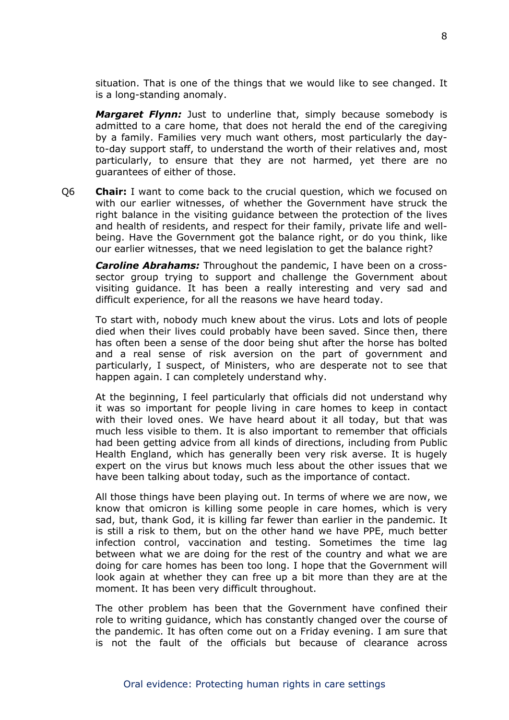situation. That is one of the things that we would like to see changed. It is a long-standing anomaly.

*Margaret Flynn:* Just to underline that, simply because somebody is admitted to a care home, that does not herald the end of the caregiving by a family. Families very much want others, most particularly the dayto-day support staff, to understand the worth of their relatives and, most particularly, to ensure that they are not harmed, yet there are no guarantees of either of those.

Q6 **Chair:** I want to come back to the crucial question, which we focused on with our earlier witnesses, of whether the Government have struck the right balance in the visiting guidance between the protection of the lives and health of residents, and respect for their family, private life and wellbeing. Have the Government got the balance right, or do you think, like our earlier witnesses, that we need legislation to get the balance right?

*Caroline Abrahams:* Throughout the pandemic, I have been on a crosssector group trying to support and challenge the Government about visiting guidance. It has been a really interesting and very sad and difficult experience, for all the reasons we have heard today.

To start with, nobody much knew about the virus. Lots and lots of people died when their lives could probably have been saved. Since then, there has often been a sense of the door being shut after the horse has bolted and a real sense of risk aversion on the part of government and particularly, I suspect, of Ministers, who are desperate not to see that happen again. I can completely understand why.

At the beginning, I feel particularly that officials did not understand why it was so important for people living in care homes to keep in contact with their loved ones. We have heard about it all today, but that was much less visible to them. It is also important to remember that officials had been getting advice from all kinds of directions, including from Public Health England, which has generally been very risk averse. It is hugely expert on the virus but knows much less about the other issues that we have been talking about today, such as the importance of contact.

All those things have been playing out. In terms of where we are now, we know that omicron is killing some people in care homes, which is very sad, but, thank God, it is killing far fewer than earlier in the pandemic. It is still a risk to them, but on the other hand we have PPE, much better infection control, vaccination and testing. Sometimes the time lag between what we are doing for the rest of the country and what we are doing for care homes has been too long. I hope that the Government will look again at whether they can free up a bit more than they are at the moment. It has been very difficult throughout.

The other problem has been that the Government have confined their role to writing guidance, which has constantly changed over the course of the pandemic. It has often come out on a Friday evening. I am sure that is not the fault of the officials but because of clearance across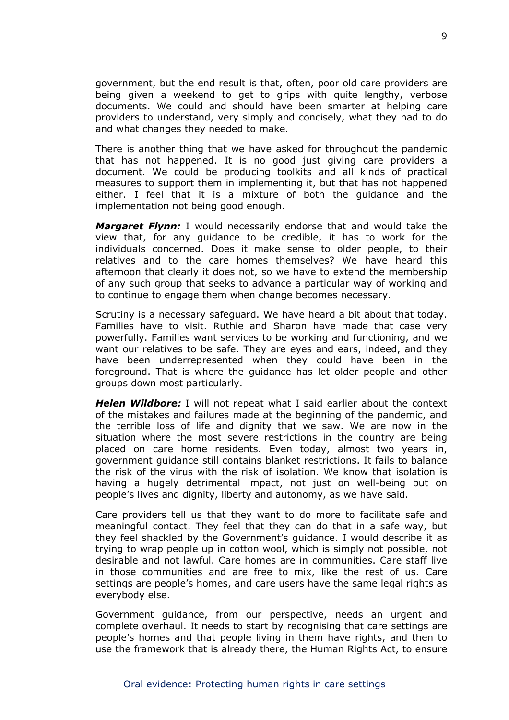government, but the end result is that, often, poor old care providers are being given a weekend to get to grips with quite lengthy, verbose documents. We could and should have been smarter at helping care providers to understand, very simply and concisely, what they had to do and what changes they needed to make.

There is another thing that we have asked for throughout the pandemic that has not happened. It is no good just giving care providers a document. We could be producing toolkits and all kinds of practical measures to support them in implementing it, but that has not happened either. I feel that it is a mixture of both the guidance and the implementation not being good enough.

*Margaret Flynn:* I would necessarily endorse that and would take the view that, for any guidance to be credible, it has to work for the individuals concerned. Does it make sense to older people, to their relatives and to the care homes themselves? We have heard this afternoon that clearly it does not, so we have to extend the membership of any such group that seeks to advance a particular way of working and to continue to engage them when change becomes necessary.

Scrutiny is a necessary safeguard. We have heard a bit about that today. Families have to visit. Ruthie and Sharon have made that case very powerfully. Families want services to be working and functioning, and we want our relatives to be safe. They are eyes and ears, indeed, and they have been underrepresented when they could have been in the foreground. That is where the guidance has let older people and other groups down most particularly.

*Helen Wildbore:* I will not repeat what I said earlier about the context of the mistakes and failures made at the beginning of the pandemic, and the terrible loss of life and dignity that we saw. We are now in the situation where the most severe restrictions in the country are being placed on care home residents. Even today, almost two years in, government guidance still contains blanket restrictions. It fails to balance the risk of the virus with the risk of isolation. We know that isolation is having a hugely detrimental impact, not just on well-being but on people's lives and dignity, liberty and autonomy, as we have said.

Care providers tell us that they want to do more to facilitate safe and meaningful contact. They feel that they can do that in a safe way, but they feel shackled by the Government's guidance. I would describe it as trying to wrap people up in cotton wool, which is simply not possible, not desirable and not lawful. Care homes are in communities. Care staff live in those communities and are free to mix, like the rest of us. Care settings are people's homes, and care users have the same legal rights as everybody else.

Government guidance, from our perspective, needs an urgent and complete overhaul. It needs to start by recognising that care settings are people's homes and that people living in them have rights, and then to use the framework that is already there, the Human Rights Act, to ensure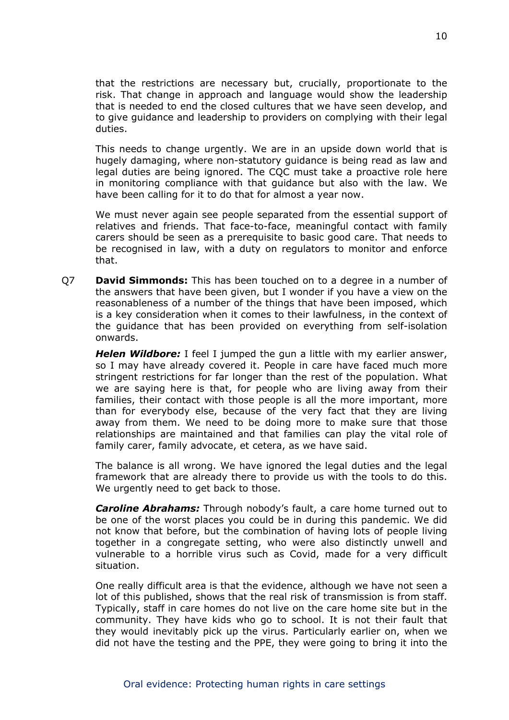that the restrictions are necessary but, crucially, proportionate to the risk. That change in approach and language would show the leadership that is needed to end the closed cultures that we have seen develop, and to give guidance and leadership to providers on complying with their legal duties.

This needs to change urgently. We are in an upside down world that is hugely damaging, where non-statutory guidance is being read as law and legal duties are being ignored. The CQC must take a proactive role here in monitoring compliance with that guidance but also with the law. We have been calling for it to do that for almost a year now.

We must never again see people separated from the essential support of relatives and friends. That face-to-face, meaningful contact with family carers should be seen as a prerequisite to basic good care. That needs to be recognised in law, with a duty on regulators to monitor and enforce that.

Q7 **David Simmonds:** This has been touched on to a degree in a number of the answers that have been given, but I wonder if you have a view on the reasonableness of a number of the things that have been imposed, which is a key consideration when it comes to their lawfulness, in the context of the guidance that has been provided on everything from self-isolation onwards.

*Helen Wildbore:* I feel I jumped the gun a little with my earlier answer, so I may have already covered it. People in care have faced much more stringent restrictions for far longer than the rest of the population. What we are saying here is that, for people who are living away from their families, their contact with those people is all the more important, more than for everybody else, because of the very fact that they are living away from them. We need to be doing more to make sure that those relationships are maintained and that families can play the vital role of family carer, family advocate, et cetera, as we have said.

The balance is all wrong. We have ignored the legal duties and the legal framework that are already there to provide us with the tools to do this. We urgently need to get back to those.

*Caroline Abrahams:* Through nobody's fault, a care home turned out to be one of the worst places you could be in during this pandemic. We did not know that before, but the combination of having lots of people living together in a congregate setting, who were also distinctly unwell and vulnerable to a horrible virus such as Covid, made for a very difficult situation.

One really difficult area is that the evidence, although we have not seen a lot of this published, shows that the real risk of transmission is from staff. Typically, staff in care homes do not live on the care home site but in the community. They have kids who go to school. It is not their fault that they would inevitably pick up the virus. Particularly earlier on, when we did not have the testing and the PPE, they were going to bring it into the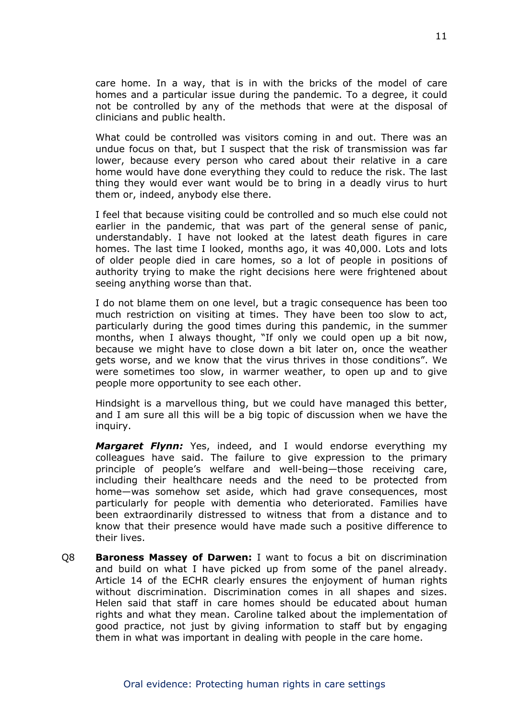care home. In a way, that is in with the bricks of the model of care homes and a particular issue during the pandemic. To a degree, it could not be controlled by any of the methods that were at the disposal of clinicians and public health.

What could be controlled was visitors coming in and out. There was an undue focus on that, but I suspect that the risk of transmission was far lower, because every person who cared about their relative in a care home would have done everything they could to reduce the risk. The last thing they would ever want would be to bring in a deadly virus to hurt them or, indeed, anybody else there.

I feel that because visiting could be controlled and so much else could not earlier in the pandemic, that was part of the general sense of panic, understandably. I have not looked at the latest death figures in care homes. The last time I looked, months ago, it was 40,000. Lots and lots of older people died in care homes, so a lot of people in positions of authority trying to make the right decisions here were frightened about seeing anything worse than that.

I do not blame them on one level, but a tragic consequence has been too much restriction on visiting at times. They have been too slow to act, particularly during the good times during this pandemic, in the summer months, when I always thought, "If only we could open up a bit now, because we might have to close down a bit later on, once the weather gets worse, and we know that the virus thrives in those conditions". We were sometimes too slow, in warmer weather, to open up and to give people more opportunity to see each other.

Hindsight is a marvellous thing, but we could have managed this better, and I am sure all this will be a big topic of discussion when we have the inquiry.

*Margaret Flynn:* Yes, indeed, and I would endorse everything my colleagues have said. The failure to give expression to the primary principle of people's welfare and well-being—those receiving care, including their healthcare needs and the need to be protected from home—was somehow set aside, which had grave consequences, most particularly for people with dementia who deteriorated. Families have been extraordinarily distressed to witness that from a distance and to know that their presence would have made such a positive difference to their lives.

Q8 **Baroness Massey of Darwen:** I want to focus a bit on discrimination and build on what I have picked up from some of the panel already. Article 14 of the ECHR clearly ensures the enjoyment of human rights without discrimination. Discrimination comes in all shapes and sizes. Helen said that staff in care homes should be educated about human rights and what they mean. Caroline talked about the implementation of good practice, not just by giving information to staff but by engaging them in what was important in dealing with people in the care home.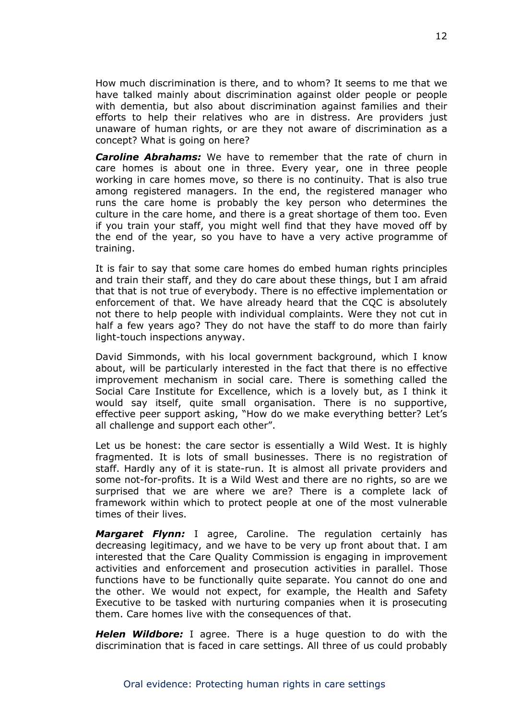How much discrimination is there, and to whom? It seems to me that we have talked mainly about discrimination against older people or people with dementia, but also about discrimination against families and their efforts to help their relatives who are in distress. Are providers just unaware of human rights, or are they not aware of discrimination as a concept? What is going on here?

*Caroline Abrahams:* We have to remember that the rate of churn in care homes is about one in three. Every year, one in three people working in care homes move, so there is no continuity. That is also true among registered managers. In the end, the registered manager who runs the care home is probably the key person who determines the culture in the care home, and there is a great shortage of them too. Even if you train your staff, you might well find that they have moved off by the end of the year, so you have to have a very active programme of training.

It is fair to say that some care homes do embed human rights principles and train their staff, and they do care about these things, but I am afraid that that is not true of everybody. There is no effective implementation or enforcement of that. We have already heard that the CQC is absolutely not there to help people with individual complaints. Were they not cut in half a few years ago? They do not have the staff to do more than fairly light-touch inspections anyway.

David Simmonds, with his local government background, which I know about, will be particularly interested in the fact that there is no effective improvement mechanism in social care. There is something called the Social Care Institute for Excellence, which is a lovely but, as I think it would say itself, quite small organisation. There is no supportive, effective peer support asking, "How do we make everything better? Let's all challenge and support each other".

Let us be honest: the care sector is essentially a Wild West. It is highly fragmented. It is lots of small businesses. There is no registration of staff. Hardly any of it is state-run. It is almost all private providers and some not-for-profits. It is a Wild West and there are no rights, so are we surprised that we are where we are? There is a complete lack of framework within which to protect people at one of the most vulnerable times of their lives.

*Margaret Flynn:* I agree, Caroline. The regulation certainly has decreasing legitimacy, and we have to be very up front about that. I am interested that the Care Quality Commission is engaging in improvement activities and enforcement and prosecution activities in parallel. Those functions have to be functionally quite separate. You cannot do one and the other. We would not expect, for example, the Health and Safety Executive to be tasked with nurturing companies when it is prosecuting them. Care homes live with the consequences of that.

*Helen Wildbore:* I agree. There is a huge question to do with the discrimination that is faced in care settings. All three of us could probably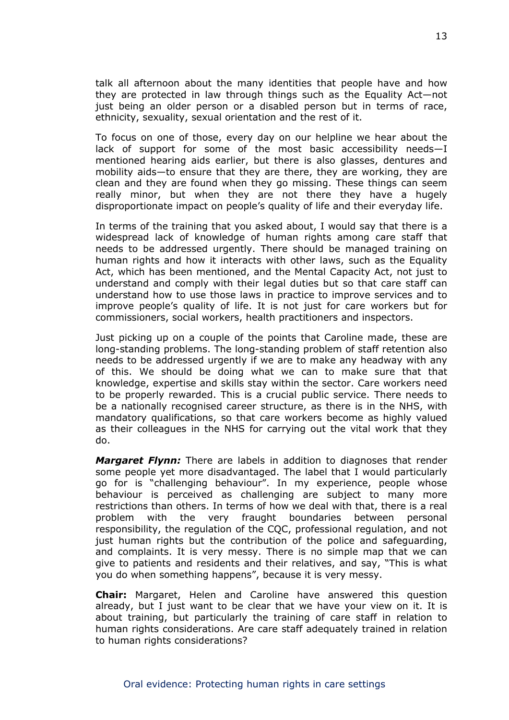talk all afternoon about the many identities that people have and how they are protected in law through things such as the Equality Act—not just being an older person or a disabled person but in terms of race, ethnicity, sexuality, sexual orientation and the rest of it.

To focus on one of those, every day on our helpline we hear about the lack of support for some of the most basic accessibility needs—I mentioned hearing aids earlier, but there is also glasses, dentures and mobility aids—to ensure that they are there, they are working, they are clean and they are found when they go missing. These things can seem really minor, but when they are not there they have a hugely disproportionate impact on people's quality of life and their everyday life.

In terms of the training that you asked about, I would say that there is a widespread lack of knowledge of human rights among care staff that needs to be addressed urgently. There should be managed training on human rights and how it interacts with other laws, such as the Equality Act, which has been mentioned, and the Mental Capacity Act, not just to understand and comply with their legal duties but so that care staff can understand how to use those laws in practice to improve services and to improve people's quality of life. It is not just for care workers but for commissioners, social workers, health practitioners and inspectors.

Just picking up on a couple of the points that Caroline made, these are long-standing problems. The long-standing problem of staff retention also needs to be addressed urgently if we are to make any headway with any of this. We should be doing what we can to make sure that that knowledge, expertise and skills stay within the sector. Care workers need to be properly rewarded. This is a crucial public service. There needs to be a nationally recognised career structure, as there is in the NHS, with mandatory qualifications, so that care workers become as highly valued as their colleagues in the NHS for carrying out the vital work that they do.

*Margaret Flynn:* There are labels in addition to diagnoses that render some people yet more disadvantaged. The label that I would particularly go for is "challenging behaviour". In my experience, people whose behaviour is perceived as challenging are subject to many more restrictions than others. In terms of how we deal with that, there is a real problem with the very fraught boundaries between personal responsibility, the regulation of the CQC, professional regulation, and not just human rights but the contribution of the police and safeguarding, and complaints. It is very messy. There is no simple map that we can give to patients and residents and their relatives, and say, "This is what you do when something happens", because it is very messy.

**Chair:** Margaret, Helen and Caroline have answered this question already, but I just want to be clear that we have your view on it. It is about training, but particularly the training of care staff in relation to human rights considerations. Are care staff adequately trained in relation to human rights considerations?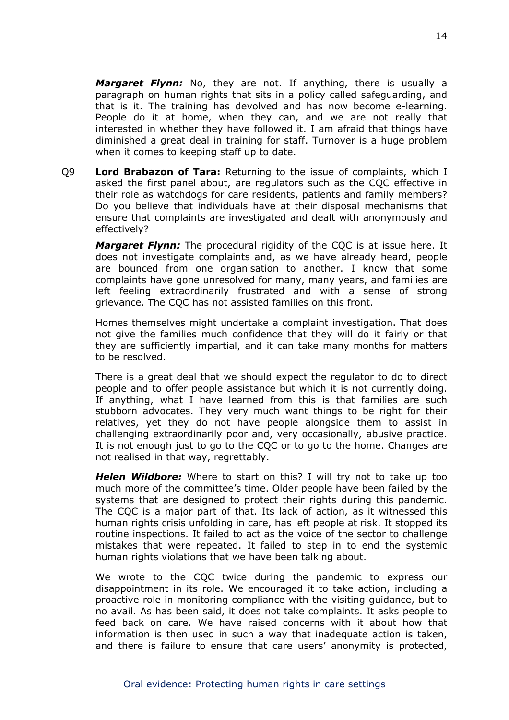*Margaret Flynn:* No, they are not. If anything, there is usually a paragraph on human rights that sits in a policy called safeguarding, and that is it. The training has devolved and has now become e-learning. People do it at home, when they can, and we are not really that interested in whether they have followed it. I am afraid that things have diminished a great deal in training for staff. Turnover is a huge problem when it comes to keeping staff up to date.

Q9 **Lord Brabazon of Tara:** Returning to the issue of complaints, which I asked the first panel about, are regulators such as the CQC effective in their role as watchdogs for care residents, patients and family members? Do you believe that individuals have at their disposal mechanisms that ensure that complaints are investigated and dealt with anonymously and effectively?

*Margaret Flynn:* The procedural rigidity of the CQC is at issue here. It does not investigate complaints and, as we have already heard, people are bounced from one organisation to another. I know that some complaints have gone unresolved for many, many years, and families are left feeling extraordinarily frustrated and with a sense of strong grievance. The CQC has not assisted families on this front.

Homes themselves might undertake a complaint investigation. That does not give the families much confidence that they will do it fairly or that they are sufficiently impartial, and it can take many months for matters to be resolved.

There is a great deal that we should expect the regulator to do to direct people and to offer people assistance but which it is not currently doing. If anything, what I have learned from this is that families are such stubborn advocates. They very much want things to be right for their relatives, yet they do not have people alongside them to assist in challenging extraordinarily poor and, very occasionally, abusive practice. It is not enough just to go to the CQC or to go to the home. Changes are not realised in that way, regrettably.

*Helen Wildbore:* Where to start on this? I will try not to take up too much more of the committee's time. Older people have been failed by the systems that are designed to protect their rights during this pandemic. The CQC is a major part of that. Its lack of action, as it witnessed this human rights crisis unfolding in care, has left people at risk. It stopped its routine inspections. It failed to act as the voice of the sector to challenge mistakes that were repeated. It failed to step in to end the systemic human rights violations that we have been talking about.

We wrote to the CQC twice during the pandemic to express our disappointment in its role. We encouraged it to take action, including a proactive role in monitoring compliance with the visiting guidance, but to no avail. As has been said, it does not take complaints. It asks people to feed back on care. We have raised concerns with it about how that information is then used in such a way that inadequate action is taken, and there is failure to ensure that care users' anonymity is protected,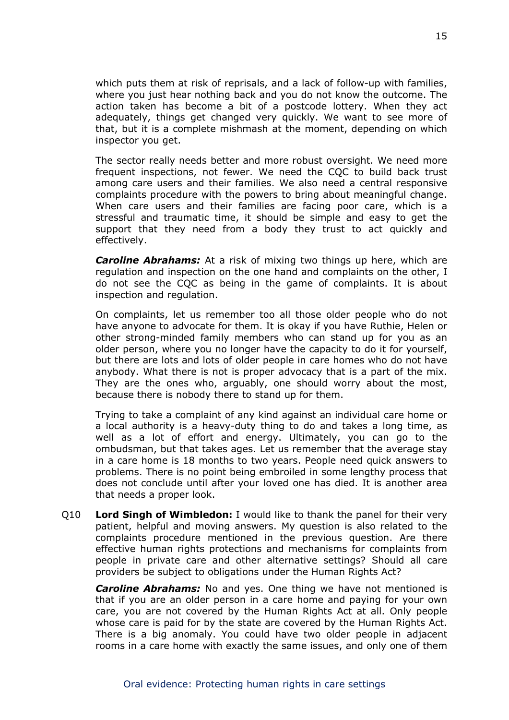which puts them at risk of reprisals, and a lack of follow-up with families, where you just hear nothing back and you do not know the outcome. The action taken has become a bit of a postcode lottery. When they act adequately, things get changed very quickly. We want to see more of that, but it is a complete mishmash at the moment, depending on which inspector you get.

The sector really needs better and more robust oversight. We need more frequent inspections, not fewer. We need the CQC to build back trust among care users and their families. We also need a central responsive complaints procedure with the powers to bring about meaningful change. When care users and their families are facing poor care, which is a stressful and traumatic time, it should be simple and easy to get the support that they need from a body they trust to act quickly and effectively.

*Caroline Abrahams:* At a risk of mixing two things up here, which are regulation and inspection on the one hand and complaints on the other, I do not see the CQC as being in the game of complaints. It is about inspection and regulation.

On complaints, let us remember too all those older people who do not have anyone to advocate for them. It is okay if you have Ruthie, Helen or other strong-minded family members who can stand up for you as an older person, where you no longer have the capacity to do it for yourself, but there are lots and lots of older people in care homes who do not have anybody. What there is not is proper advocacy that is a part of the mix. They are the ones who, arguably, one should worry about the most, because there is nobody there to stand up for them.

Trying to take a complaint of any kind against an individual care home or a local authority is a heavy-duty thing to do and takes a long time, as well as a lot of effort and energy. Ultimately, you can go to the ombudsman, but that takes ages. Let us remember that the average stay in a care home is 18 months to two years. People need quick answers to problems. There is no point being embroiled in some lengthy process that does not conclude until after your loved one has died. It is another area that needs a proper look.

Q10 **Lord Singh of Wimbledon:** I would like to thank the panel for their very patient, helpful and moving answers. My question is also related to the complaints procedure mentioned in the previous question. Are there effective human rights protections and mechanisms for complaints from people in private care and other alternative settings? Should all care providers be subject to obligations under the Human Rights Act?

*Caroline Abrahams:* No and yes. One thing we have not mentioned is that if you are an older person in a care home and paying for your own care, you are not covered by the Human Rights Act at all. Only people whose care is paid for by the state are covered by the Human Rights Act. There is a big anomaly. You could have two older people in adjacent rooms in a care home with exactly the same issues, and only one of them